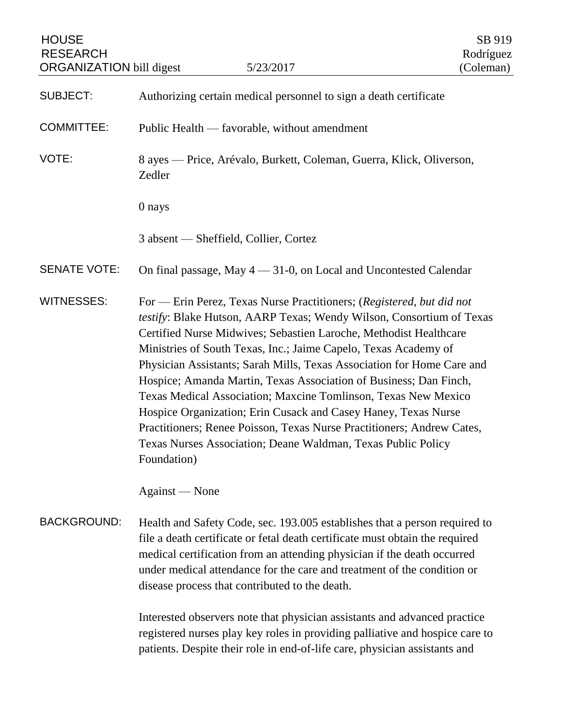| <b>HOUSE</b><br><b>RESEARCH</b><br><b>ORGANIZATION</b> bill digest | 5/23/2017                                                                                                                                                                                                                                                                                                                                                                                                                                                                                                                                                                                                                                                                                                                         | SB 919<br>Rodríguez<br>(Coleman) |
|--------------------------------------------------------------------|-----------------------------------------------------------------------------------------------------------------------------------------------------------------------------------------------------------------------------------------------------------------------------------------------------------------------------------------------------------------------------------------------------------------------------------------------------------------------------------------------------------------------------------------------------------------------------------------------------------------------------------------------------------------------------------------------------------------------------------|----------------------------------|
| <b>SUBJECT:</b>                                                    | Authorizing certain medical personnel to sign a death certificate                                                                                                                                                                                                                                                                                                                                                                                                                                                                                                                                                                                                                                                                 |                                  |
| <b>COMMITTEE:</b>                                                  | Public Health — favorable, without amendment                                                                                                                                                                                                                                                                                                                                                                                                                                                                                                                                                                                                                                                                                      |                                  |
| VOTE:                                                              | 8 ayes — Price, Arévalo, Burkett, Coleman, Guerra, Klick, Oliverson,<br>Zedler                                                                                                                                                                                                                                                                                                                                                                                                                                                                                                                                                                                                                                                    |                                  |
|                                                                    | 0 nays                                                                                                                                                                                                                                                                                                                                                                                                                                                                                                                                                                                                                                                                                                                            |                                  |
|                                                                    | 3 absent — Sheffield, Collier, Cortez                                                                                                                                                                                                                                                                                                                                                                                                                                                                                                                                                                                                                                                                                             |                                  |
| <b>SENATE VOTE:</b>                                                | On final passage, May 4 - 31-0, on Local and Uncontested Calendar                                                                                                                                                                                                                                                                                                                                                                                                                                                                                                                                                                                                                                                                 |                                  |
| <b>WITNESSES:</b>                                                  | For - Erin Perez, Texas Nurse Practitioners; (Registered, but did not<br>testify: Blake Hutson, AARP Texas; Wendy Wilson, Consortium of Texas<br>Certified Nurse Midwives; Sebastien Laroche, Methodist Healthcare<br>Ministries of South Texas, Inc.; Jaime Capelo, Texas Academy of<br>Physician Assistants; Sarah Mills, Texas Association for Home Care and<br>Hospice; Amanda Martin, Texas Association of Business; Dan Finch,<br>Texas Medical Association; Maxcine Tomlinson, Texas New Mexico<br>Hospice Organization; Erin Cusack and Casey Haney, Texas Nurse<br>Practitioners; Renee Poisson, Texas Nurse Practitioners; Andrew Cates,<br>Texas Nurses Association; Deane Waldman, Texas Public Policy<br>Foundation) |                                  |
|                                                                    | Against — None                                                                                                                                                                                                                                                                                                                                                                                                                                                                                                                                                                                                                                                                                                                    |                                  |
| <b>BACKGROUND:</b>                                                 | Health and Safety Code, sec. 193.005 establishes that a person required to<br>file a death certificate or fetal death certificate must obtain the required<br>medical certification from an attending physician if the death occurred<br>under medical attendance for the care and treatment of the condition or<br>disease process that contributed to the death.                                                                                                                                                                                                                                                                                                                                                                |                                  |
|                                                                    | Interested observers note that physician assistants and advanced practice<br>registered nurses play key roles in providing palliative and hospice care to<br>patients. Despite their role in end-of-life care, physician assistants and                                                                                                                                                                                                                                                                                                                                                                                                                                                                                           |                                  |